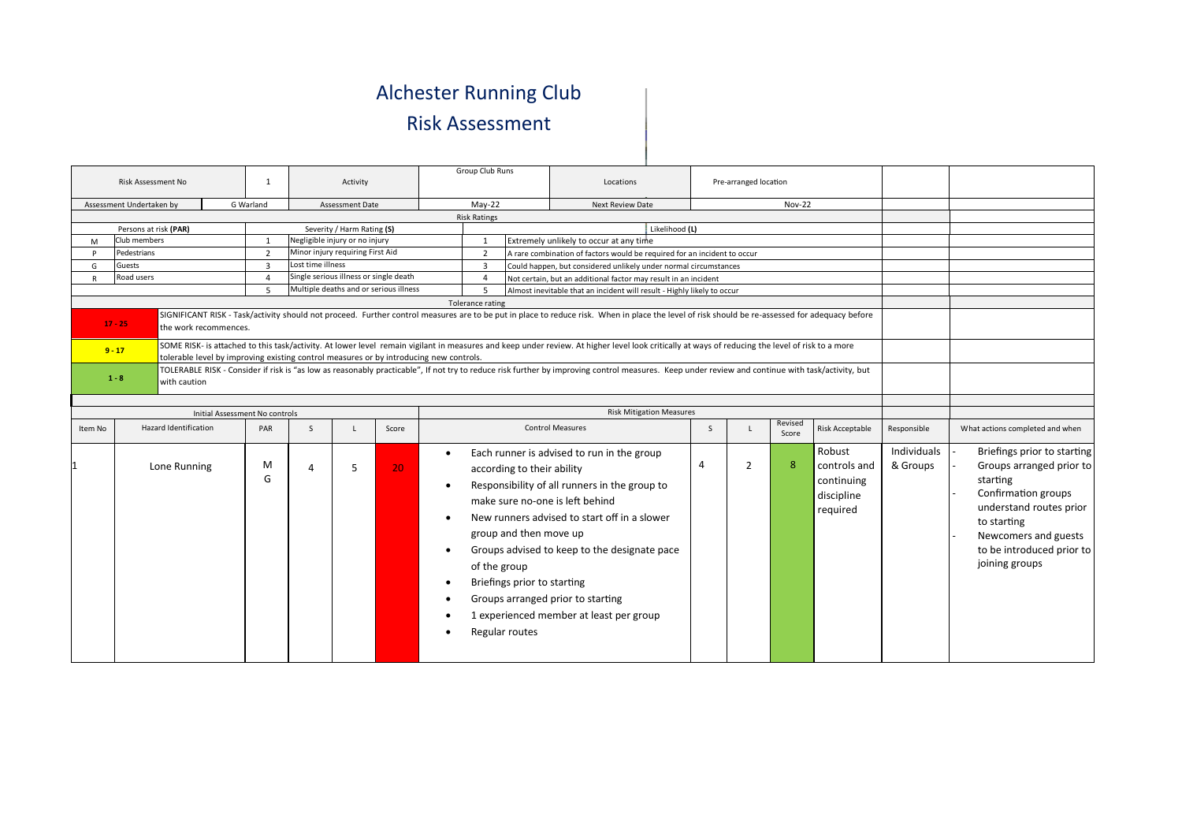## Alchester Running Club Risk Assessment

| Risk Assessment No                                                                                                                                                                                                                                                                                                                                                                                                                      |                              |                                | $\mathbf{1}$   |                        | Activity                               |                                        | Group Club Runs  |                                                                                                                       | Locations                                                                                                                                                                                                                                                                                                      |                | Pre-arranged location |                  |                                                                |                         |                                                                                                                                                                                                             |
|-----------------------------------------------------------------------------------------------------------------------------------------------------------------------------------------------------------------------------------------------------------------------------------------------------------------------------------------------------------------------------------------------------------------------------------------|------------------------------|--------------------------------|----------------|------------------------|----------------------------------------|----------------------------------------|------------------|-----------------------------------------------------------------------------------------------------------------------|----------------------------------------------------------------------------------------------------------------------------------------------------------------------------------------------------------------------------------------------------------------------------------------------------------------|----------------|-----------------------|------------------|----------------------------------------------------------------|-------------------------|-------------------------------------------------------------------------------------------------------------------------------------------------------------------------------------------------------------|
| G Warland<br>Assessment Undertaken by<br>Assessment Date                                                                                                                                                                                                                                                                                                                                                                                |                              |                                |                |                        |                                        |                                        |                  | $May-22$<br><b>Nov-22</b><br>Next Review Date                                                                         |                                                                                                                                                                                                                                                                                                                |                |                       |                  |                                                                |                         |                                                                                                                                                                                                             |
|                                                                                                                                                                                                                                                                                                                                                                                                                                         | <b>Risk Ratings</b>          |                                |                |                        |                                        |                                        |                  |                                                                                                                       |                                                                                                                                                                                                                                                                                                                |                |                       |                  |                                                                |                         |                                                                                                                                                                                                             |
| Persons at risk (PAR)<br>Severity / Harm Rating (S)                                                                                                                                                                                                                                                                                                                                                                                     |                              |                                |                |                        |                                        |                                        |                  |                                                                                                                       | Likelihood (L)                                                                                                                                                                                                                                                                                                 |                |                       |                  |                                                                |                         |                                                                                                                                                                                                             |
| Negligible injury or no injury<br>Club members<br>1<br>M                                                                                                                                                                                                                                                                                                                                                                                |                              |                                |                |                        |                                        |                                        | 1                |                                                                                                                       | Extremely unlikely to occur at any time                                                                                                                                                                                                                                                                        |                |                       |                  |                                                                |                         |                                                                                                                                                                                                             |
|                                                                                                                                                                                                                                                                                                                                                                                                                                         | Pedestrians                  |                                | $\overline{2}$ |                        | Minor injury requiring First Aid       |                                        | $\overline{2}$   |                                                                                                                       | A rare combination of factors would be required for an incident to occur                                                                                                                                                                                                                                       |                |                       |                  |                                                                |                         |                                                                                                                                                                                                             |
| G                                                                                                                                                                                                                                                                                                                                                                                                                                       | Guests                       |                                | 3              | Lost time illness      |                                        |                                        | 3                |                                                                                                                       | Could happen, but considered unlikely under normal circumstances                                                                                                                                                                                                                                               |                |                       |                  |                                                                |                         |                                                                                                                                                                                                             |
| R                                                                                                                                                                                                                                                                                                                                                                                                                                       | Road users                   |                                | $\overline{4}$ |                        | Single serious illness or single death |                                        | $\overline{4}$   |                                                                                                                       | Not certain, but an additional factor may result in an incident                                                                                                                                                                                                                                                |                |                       |                  |                                                                |                         |                                                                                                                                                                                                             |
|                                                                                                                                                                                                                                                                                                                                                                                                                                         |                              |                                | 5              |                        |                                        | Multiple deaths and or serious illness | 5                |                                                                                                                       | Almost inevitable that an incident will result - Highly likely to occur                                                                                                                                                                                                                                        |                |                       |                  |                                                                |                         |                                                                                                                                                                                                             |
|                                                                                                                                                                                                                                                                                                                                                                                                                                         |                              |                                |                |                        |                                        |                                        | Tolerance rating |                                                                                                                       |                                                                                                                                                                                                                                                                                                                |                |                       |                  |                                                                |                         |                                                                                                                                                                                                             |
| SIGNIFICANT RISK - Task/activity should not proceed. Further control measures are to be put in place to reduce risk. When in place the level of risk should be re-assessed for adequacy before<br>$17 - 25$<br>the work recommences.<br>SOME RISK- is attached to this task/activity. At lower level remain vigilant in measures and keep under review. At higher level look critically at ways of reducing the level of risk to a more |                              |                                |                |                        |                                        |                                        |                  |                                                                                                                       |                                                                                                                                                                                                                                                                                                                |                |                       |                  |                                                                |                         |                                                                                                                                                                                                             |
| $9 - 17$<br>tolerable level by improving existing control measures or by introducing new controls.<br>TOLERABLE RISK - Consider if risk is "as low as reasonably practicable", If not try to reduce risk further by improving control measures. Keep under review and continue with task/activity, but<br>$1 - 8$<br>with caution                                                                                                       |                              |                                |                |                        |                                        |                                        |                  |                                                                                                                       |                                                                                                                                                                                                                                                                                                                |                |                       |                  |                                                                |                         |                                                                                                                                                                                                             |
|                                                                                                                                                                                                                                                                                                                                                                                                                                         |                              |                                |                |                        |                                        |                                        |                  |                                                                                                                       |                                                                                                                                                                                                                                                                                                                |                |                       |                  |                                                                |                         |                                                                                                                                                                                                             |
|                                                                                                                                                                                                                                                                                                                                                                                                                                         |                              | Initial Assessment No controls |                |                        |                                        |                                        |                  |                                                                                                                       | <b>Risk Mitigation Measures</b>                                                                                                                                                                                                                                                                                |                |                       |                  |                                                                |                         |                                                                                                                                                                                                             |
| Item No                                                                                                                                                                                                                                                                                                                                                                                                                                 | <b>Hazard Identification</b> |                                | PAR            | <sub>S</sub>           |                                        | Score                                  |                  |                                                                                                                       | <b>Control Measures</b>                                                                                                                                                                                                                                                                                        | <sub>S</sub>   |                       | Revised<br>Score | Risk Acceptable                                                | Responsible             | What actions completed and when                                                                                                                                                                             |
|                                                                                                                                                                                                                                                                                                                                                                                                                                         | Lone Running                 |                                | M<br>G         | $\boldsymbol{\Lambda}$ | 5                                      | 20 <sub>1</sub>                        |                  | according to their ability<br>group and then move up<br>of the group<br>Briefings prior to starting<br>Regular routes | Each runner is advised to run in the group<br>Responsibility of all runners in the group to<br>make sure no-one is left behind<br>New runners advised to start off in a slower<br>Groups advised to keep to the designate pace<br>Groups arranged prior to starting<br>1 experienced member at least per group | $\overline{4}$ | 2                     | -8               | Robust<br>controls and<br>continuing<br>discipline<br>required | Individuals<br>& Groups | Briefings prior to starting<br>Groups arranged prior to<br>starting<br>Confirmation groups<br>understand routes prior<br>to starting<br>Newcomers and guests<br>to be introduced prior to<br>joining groups |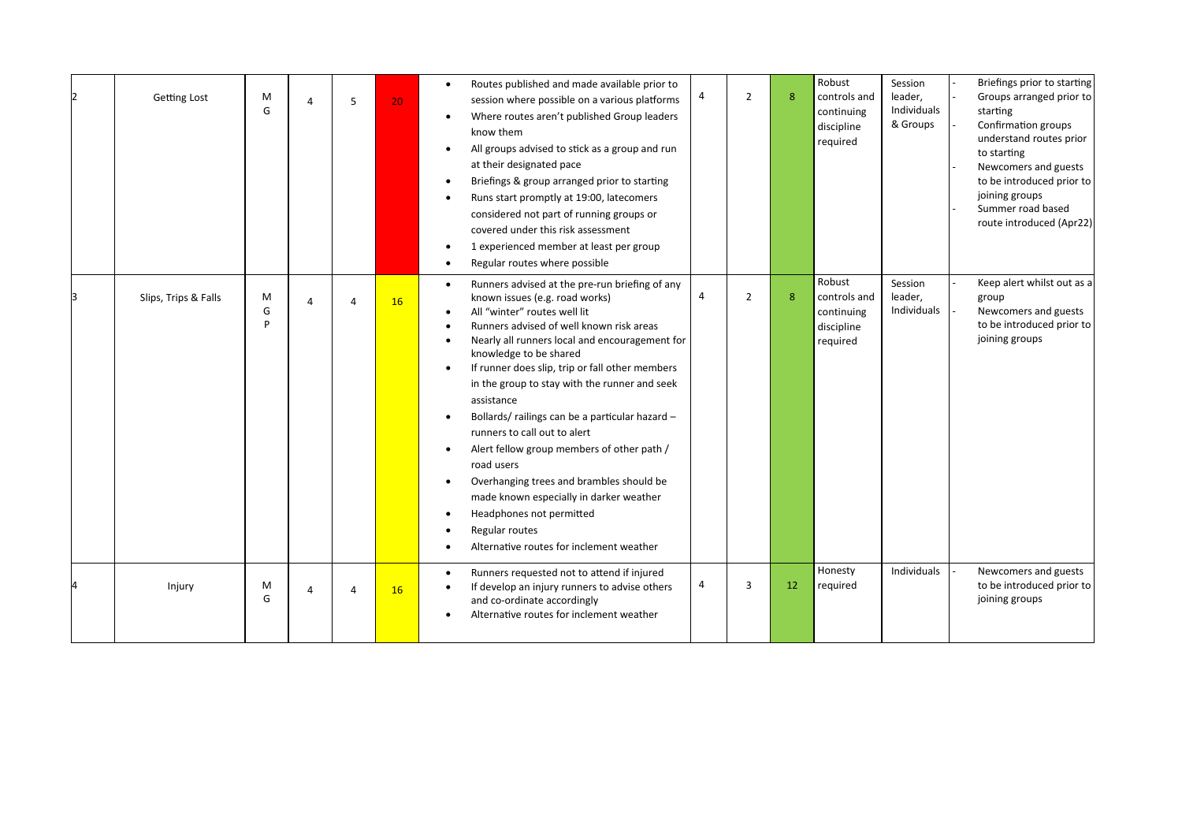| <b>Getting Lost</b>  | M<br>G      | $\overline{a}$ | 5              | 20 | Routes published and made available prior to<br>$\bullet$<br>session where possible on a various platforms<br>Where routes aren't published Group leaders<br>$\bullet$<br>know them<br>All groups advised to stick as a group and run<br>$\bullet$<br>at their designated pace<br>Briefings & group arranged prior to starting<br>$\bullet$<br>Runs start promptly at 19:00, latecomers<br>$\bullet$<br>considered not part of running groups or<br>covered under this risk assessment<br>1 experienced member at least per group<br>Regular routes where possible<br>$\bullet$                                                                                                                                                                                         | 4 | $\overline{2}$ | 8  | Robust<br>controls and<br>continuing<br>discipline<br>required | Session<br>leader,<br>Individuals<br>& Groups | Briefings prior to starting<br>Groups arranged prior to<br>starting<br>Confirmation groups<br>understand routes prior<br>to starting<br>Newcomers and guests<br>to be introduced prior to<br>joining groups<br>Summer road based<br>route introduced (Apr22) |
|----------------------|-------------|----------------|----------------|----|-------------------------------------------------------------------------------------------------------------------------------------------------------------------------------------------------------------------------------------------------------------------------------------------------------------------------------------------------------------------------------------------------------------------------------------------------------------------------------------------------------------------------------------------------------------------------------------------------------------------------------------------------------------------------------------------------------------------------------------------------------------------------|---|----------------|----|----------------------------------------------------------------|-----------------------------------------------|--------------------------------------------------------------------------------------------------------------------------------------------------------------------------------------------------------------------------------------------------------------|
| Slips, Trips & Falls | M<br>G<br>P | $\overline{a}$ | $\overline{A}$ | 16 | Runners advised at the pre-run briefing of any<br>$\bullet$<br>known issues (e.g. road works)<br>All "winter" routes well lit<br>$\bullet$<br>Runners advised of well known risk areas<br>Nearly all runners local and encouragement for<br>knowledge to be shared<br>If runner does slip, trip or fall other members<br>$\bullet$<br>in the group to stay with the runner and seek<br>assistance<br>Bollards/railings can be a particular hazard -<br>$\bullet$<br>runners to call out to alert<br>Alert fellow group members of other path /<br>road users<br>Overhanging trees and brambles should be<br>$\bullet$<br>made known especially in darker weather<br>Headphones not permitted<br>Regular routes<br>$\bullet$<br>Alternative routes for inclement weather | 4 | $\overline{2}$ | 8  | Robust<br>controls and<br>continuing<br>discipline<br>required | Session<br>leader,<br>Individuals             | Keep alert whilst out as a<br>group<br>Newcomers and guests<br>to be introduced prior to<br>joining groups                                                                                                                                                   |
| Injury               | M<br>G      | $\overline{a}$ | $\overline{A}$ | 16 | Runners requested not to attend if injured<br>$\bullet$<br>If develop an injury runners to advise others<br>and co-ordinate accordingly<br>Alternative routes for inclement weather                                                                                                                                                                                                                                                                                                                                                                                                                                                                                                                                                                                     | 4 | 3              | 12 | Honesty<br>required                                            | Individuals                                   | Newcomers and guests<br>to be introduced prior to<br>joining groups                                                                                                                                                                                          |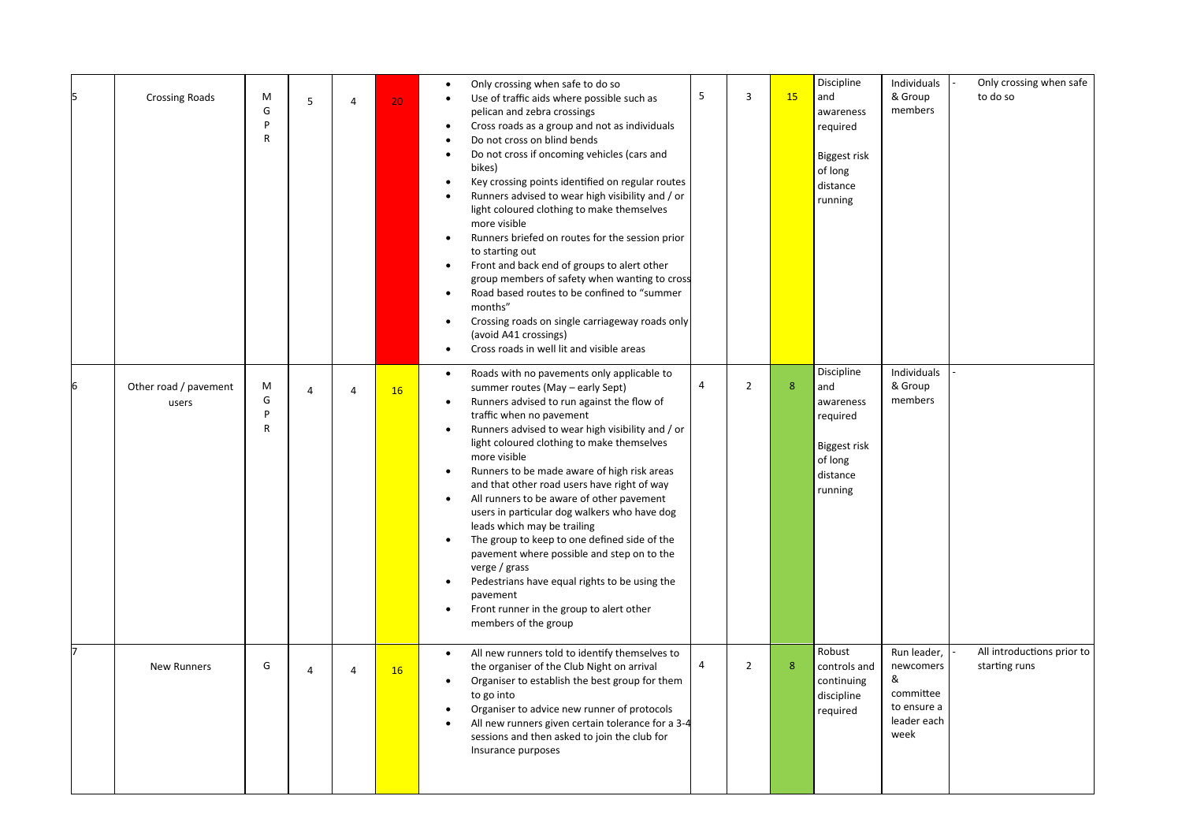| <b>Crossing Roads</b>          | M<br>G<br>P<br>R            | 5              | $\overline{4}$ | 20 <sub>1</sub> | Only crossing when safe to do so<br>$\bullet$<br>Use of traffic aids where possible such as<br>$\bullet$<br>pelican and zebra crossings<br>Cross roads as a group and not as individuals<br>Do not cross on blind bends<br>Do not cross if oncoming vehicles (cars and<br>$\bullet$<br>bikes)<br>Key crossing points identified on regular routes<br>$\bullet$<br>Runners advised to wear high visibility and / or<br>$\bullet$<br>light coloured clothing to make themselves<br>more visible<br>Runners briefed on routes for the session prior<br>$\bullet$<br>to starting out<br>Front and back end of groups to alert other<br>$\bullet$<br>group members of safety when wanting to cross<br>Road based routes to be confined to "summer<br>$\bullet$<br>months"<br>Crossing roads on single carriageway roads only<br>(avoid A41 crossings)<br>Cross roads in well lit and visible areas<br>$\bullet$ | 5              | 3              | <b>15</b>        | Discipline<br>and<br>awareness<br>required<br>Biggest risk<br>of long<br>distance<br>running | Individuals<br>& Group<br>members                                                | Only crossing when safe<br>to do so         |
|--------------------------------|-----------------------------|----------------|----------------|-----------------|------------------------------------------------------------------------------------------------------------------------------------------------------------------------------------------------------------------------------------------------------------------------------------------------------------------------------------------------------------------------------------------------------------------------------------------------------------------------------------------------------------------------------------------------------------------------------------------------------------------------------------------------------------------------------------------------------------------------------------------------------------------------------------------------------------------------------------------------------------------------------------------------------------|----------------|----------------|------------------|----------------------------------------------------------------------------------------------|----------------------------------------------------------------------------------|---------------------------------------------|
| Other road / pavement<br>users | M<br>G<br>P<br>$\mathsf{R}$ | $\overline{4}$ | $\overline{4}$ | 16              | Roads with no pavements only applicable to<br>$\bullet$<br>summer routes (May - early Sept)<br>Runners advised to run against the flow of<br>$\bullet$<br>traffic when no pavement<br>Runners advised to wear high visibility and / or<br>$\bullet$<br>light coloured clothing to make themselves<br>more visible<br>Runners to be made aware of high risk areas<br>$\bullet$<br>and that other road users have right of way<br>All runners to be aware of other pavement<br>$\bullet$<br>users in particular dog walkers who have dog<br>leads which may be trailing<br>The group to keep to one defined side of the<br>$\bullet$<br>pavement where possible and step on to the<br>verge / grass<br>Pedestrians have equal rights to be using the<br>$\bullet$<br>pavement<br>Front runner in the group to alert other<br>members of the group                                                            | $\overline{a}$ | $\overline{2}$ | 8                | Discipline<br>and<br>awareness<br>required<br>Biggest risk<br>of long<br>distance<br>running | Individuals<br>& Group<br>members                                                |                                             |
| <b>New Runners</b>             | G                           | 4              | $\overline{4}$ | 16              | All new runners told to identify themselves to<br>$\bullet$<br>the organiser of the Club Night on arrival<br>Organiser to establish the best group for them<br>$\bullet$<br>to go into<br>Organiser to advice new runner of protocols<br>All new runners given certain tolerance for a 3-4<br>$\bullet$<br>sessions and then asked to join the club for<br>Insurance purposes                                                                                                                                                                                                                                                                                                                                                                                                                                                                                                                              | 4              | $\overline{2}$ | $\boldsymbol{8}$ | Robust<br>controls and<br>continuing<br>discipline<br>required                               | Run leader,<br>newcomers<br>&<br>committee<br>to ensure a<br>leader each<br>week | All introductions prior to<br>starting runs |